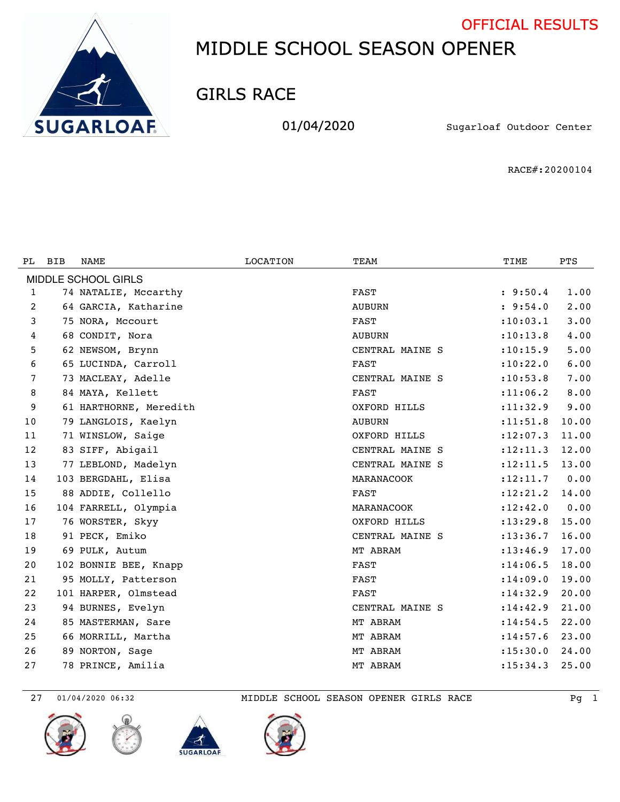



GIRLS RACE

01/04/2020 Sugarloaf Outdoor Center

RACE#:20200104

| PL.                 | <b>BIB</b> | NAME                   | <b>LOCATION</b> | TEAM            | TIME       | <b>PTS</b> |  |  |  |
|---------------------|------------|------------------------|-----------------|-----------------|------------|------------|--|--|--|
| MIDDLE SCHOOL GIRLS |            |                        |                 |                 |            |            |  |  |  |
| 1                   |            | 74 NATALIE, Mccarthy   |                 | <b>FAST</b>     | : 9:50.4   | 1.00       |  |  |  |
| 2                   |            | 64 GARCIA, Katharine   |                 | <b>AUBURN</b>   | : 9:54.0   | 2.00       |  |  |  |
| 3                   |            | 75 NORA, Mccourt       |                 | <b>FAST</b>     | : 10: 03.1 | 3.00       |  |  |  |
| 4                   |            | 68 CONDIT, Nora        |                 | <b>AUBURN</b>   | : 10: 13.8 | 4.00       |  |  |  |
| 5                   |            | 62 NEWSOM, Brynn       |                 | CENTRAL MAINE S | :10:15.9   | 5.00       |  |  |  |
| 6                   |            | 65 LUCINDA, Carroll    |                 | <b>FAST</b>     | : 10: 22.0 | 6.00       |  |  |  |
| 7                   |            | 73 MACLEAY, Adelle     |                 | CENTRAL MAINE S | : 10: 53.8 | 7.00       |  |  |  |
| 8                   |            | 84 MAYA, Kellett       |                 | FAST            | : 11: 06.2 | 8.00       |  |  |  |
| 9                   |            | 61 HARTHORNE, Meredith |                 | OXFORD HILLS    | : 11: 32.9 | 9.00       |  |  |  |
| 10                  |            | 79 LANGLOIS, Kaelyn    |                 | <b>AUBURN</b>   | : 11: 51.8 | 10.00      |  |  |  |
| 11                  |            | 71 WINSLOW, Saige      |                 | OXFORD HILLS    | : 12: 07.3 | 11.00      |  |  |  |
| 12                  |            | 83 SIFF, Abigail       |                 | CENTRAL MAINE S | : 12: 11.3 | 12.00      |  |  |  |
| 13                  |            | 77 LEBLOND, Madelyn    |                 | CENTRAL MAINE S | : 12: 11.5 | 13.00      |  |  |  |
| 14                  |            | 103 BERGDAHL, Elisa    |                 | MARANACOOK      | : 12: 11.7 | 0.00       |  |  |  |
| 15                  |            | 88 ADDIE, Collello     |                 | <b>FAST</b>     | : 12: 21.2 | 14.00      |  |  |  |
| 16                  |            | 104 FARRELL, Olympia   |                 | MARANACOOK      | : 12: 42.0 | 0.00       |  |  |  |
| 17                  |            | 76 WORSTER, Skyy       |                 | OXFORD HILLS    | : 13: 29.8 | 15.00      |  |  |  |
| 18                  |            | 91 PECK, Emiko         |                 | CENTRAL MAINE S | : 13: 36.7 | 16.00      |  |  |  |
| 19                  |            | 69 PULK, Autum         |                 | MT ABRAM        | : 13: 46.9 | 17.00      |  |  |  |
| 20                  |            | 102 BONNIE BEE, Knapp  |                 | <b>FAST</b>     | : 14:06.5  | 18.00      |  |  |  |
| 21                  |            | 95 MOLLY, Patterson    |                 | <b>FAST</b>     | : 14:09.0  | 19.00      |  |  |  |
| 22                  |            | 101 HARPER, Olmstead   |                 | <b>FAST</b>     | : 14: 32.9 | 20.00      |  |  |  |
| 23                  |            | 94 BURNES, Evelyn      |                 | CENTRAL MAINE S | : 14: 42.9 | 21.00      |  |  |  |
| 24                  |            | 85 MASTERMAN, Sare     |                 | MT ABRAM        | : 14: 54.5 | 22.00      |  |  |  |
| 25                  |            | 66 MORRILL, Martha     |                 | MT ABRAM        | : 14: 57.6 | 23.00      |  |  |  |
| 26                  |            | 89 NORTON, Sage        |                 | MT ABRAM        | : 15: 30.0 | 24.00      |  |  |  |
| 27                  |            | 78 PRINCE, Amilia      |                 | MT ABRAM        | : 15: 34.3 | 25.00      |  |  |  |









01/04/2020 06:32 MIDDLE SCHOOL SEASON OPENER GIRLS RACE Pg 1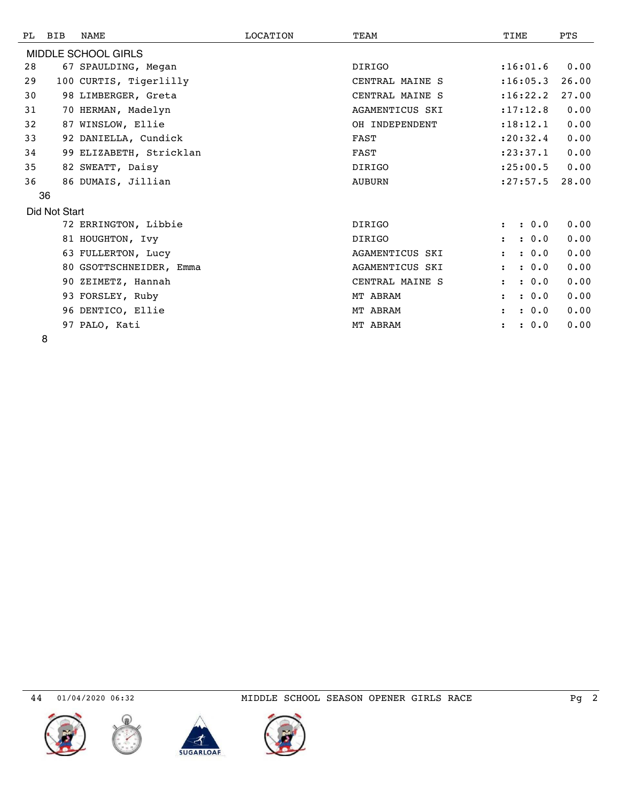| PL | BIB           | <b>NAME</b>             | LOCATION | TEAM                   | TIME                          | <b>PTS</b> |
|----|---------------|-------------------------|----------|------------------------|-------------------------------|------------|
|    |               | MIDDLE SCHOOL GIRLS     |          |                        |                               |            |
| 28 |               | 67 SPAULDING, Megan     |          | <b>DIRIGO</b>          | : 16:01.6                     | 0.00       |
| 29 |               | 100 CURTIS, Tigerlilly  |          | CENTRAL MAINE S        | : 16: 05.3                    | 26.00      |
| 30 |               | 98 LIMBERGER, Greta     |          | CENTRAL MAINE S        | : 16: 22.2                    | 27.00      |
| 31 |               | 70 HERMAN, Madelyn      |          | <b>AGAMENTICUS SKI</b> | : 17: 12.8                    | 0.00       |
| 32 |               | 87 WINSLOW, Ellie       |          | OH INDEPENDENT         | : 18: 12.1                    | 0.00       |
| 33 |               | 92 DANIELLA, Cundick    |          | <b>FAST</b>            | : 20: 32.4                    | 0.00       |
| 34 |               | 99 ELIZABETH, Stricklan |          | FAST                   | : 23: 37.1                    | 0.00       |
| 35 |               | 82 SWEATT, Daisy        |          | <b>DIRIGO</b>          | : 25:00.5                     | 0.00       |
| 36 |               | 86 DUMAIS, Jillian      |          | <b>AUBURN</b>          | : 27: 57.5                    | 28.00      |
|    | 36            |                         |          |                        |                               |            |
|    | Did Not Start |                         |          |                        |                               |            |
|    |               | 72 ERRINGTON, Libbie    |          | <b>DIRIGO</b>          | : 0.0<br>$\ddot{\phantom{a}}$ | 0.00       |
|    |               | 81 HOUGHTON, Ivy        |          | <b>DIRIGO</b>          | : 0.0<br>$\ddot{\phantom{a}}$ | 0.00       |
|    |               | 63 FULLERTON, Lucy      |          | AGAMENTICUS SKI        | : 0.0<br>$\ddot{\phantom{a}}$ | 0.00       |
|    |               | 80 GSOTTSCHNEIDER, Emma |          | <b>AGAMENTICUS SKI</b> | : 0.0<br>$\mathbf{r}$         | 0.00       |
|    |               | 90 ZEIMETZ, Hannah      |          | CENTRAL MAINE S        | : 0.0<br>$\ddot{\phantom{a}}$ | 0.00       |
|    |               | 93 FORSLEY, Ruby        |          | MT ABRAM               | : 0.0<br>$\ddot{\cdot}$       | 0.00       |
|    |               | 96 DENTICO, Ellie       |          | MT ABRAM               | : 0.0<br>$\ddot{\phantom{a}}$ | 0.00       |
|    |               | 97 PALO, Kati           |          | MT ABRAM               | : 0.0                         | 0.00       |
|    |               |                         |          |                        |                               |            |









01/04/2020 06:32 MIDDLE SCHOOL SEASON OPENER GIRLS RACE Pg 2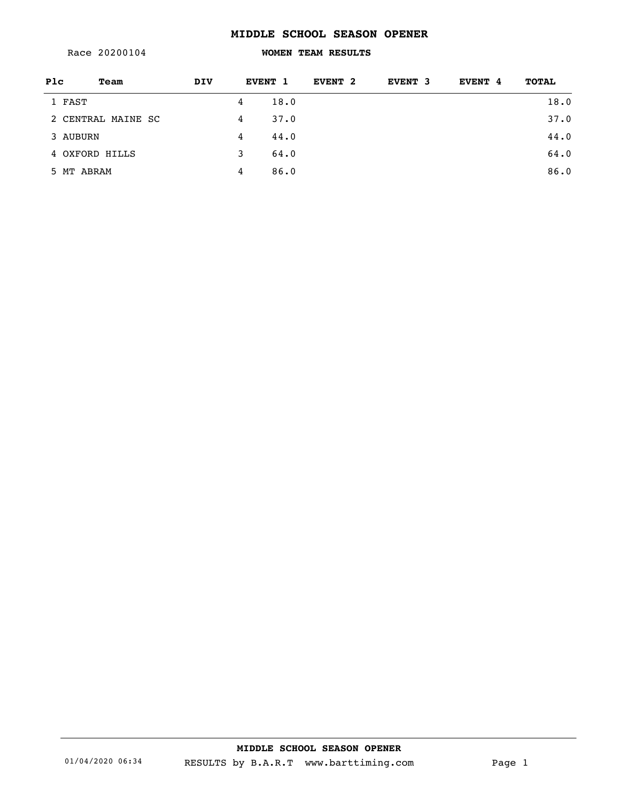Race 20200104

### **WOMEN TEAM RESULTS**

| Plc        | Team               | <b>DIV</b> |   | EVENT 1 | EVENT <sub>2</sub> | EVENT 3 | EVENT 4 | <b>TOTAL</b> |
|------------|--------------------|------------|---|---------|--------------------|---------|---------|--------------|
| 1 FAST     |                    |            | 4 | 18.0    |                    |         |         | 18.0         |
|            | 2 CENTRAL MAINE SC |            | 4 | 37.0    |                    |         |         | 37.0         |
| 3 AUBURN   |                    |            | 4 | 44.0    |                    |         |         | 44.0         |
|            | 4 OXFORD HILLS     |            | 3 | 64.0    |                    |         |         | 64.0         |
| 5 MT ABRAM |                    |            | 4 | 86.0    |                    |         |         | 86.0         |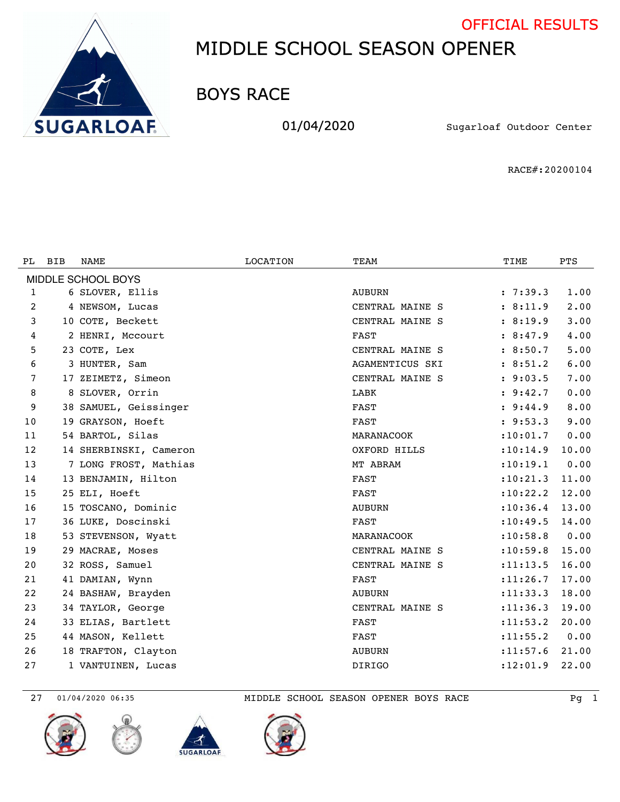



BOYS RACE

01/04/2020 Sugarloaf Outdoor Center

RACE#:20200104

| PL.                | <b>BIB</b> | NAME                   | <b>LOCATION</b> | TEAM            | TIME       | <b>PTS</b> |  |  |
|--------------------|------------|------------------------|-----------------|-----------------|------------|------------|--|--|
| MIDDLE SCHOOL BOYS |            |                        |                 |                 |            |            |  |  |
| 1                  |            | 6 SLOVER, Ellis        |                 | <b>AUBURN</b>   | : 7:39.3   | 1.00       |  |  |
| 2                  |            | 4 NEWSOM, Lucas        |                 | CENTRAL MAINE S | : 8:11.9   | 2.00       |  |  |
| 3                  |            | 10 COTE, Beckett       |                 | CENTRAL MAINE S | : 8:19.9   | 3.00       |  |  |
| 4                  |            | 2 HENRI, Mccourt       |                 | <b>FAST</b>     | : 8:47.9   | 4.00       |  |  |
| 5                  |            | 23 COTE, Lex           |                 | CENTRAL MAINE S | : 8:50.7   | 5.00       |  |  |
| 6                  |            | 3 HUNTER, Sam          |                 | AGAMENTICUS SKI | : 8:51.2   | 6.00       |  |  |
| 7                  |            | 17 ZEIMETZ, Simeon     |                 | CENTRAL MAINE S | : 9:03.5   | 7.00       |  |  |
| 8                  |            | 8 SLOVER, Orrin        |                 | LABK            | : 9:42.7   | 0.00       |  |  |
| 9                  |            | 38 SAMUEL, Geissinger  |                 | <b>FAST</b>     | : 9:44.9   | 8.00       |  |  |
| 10                 |            | 19 GRAYSON, Hoeft      |                 | <b>FAST</b>     | : 9:53.3   | 9.00       |  |  |
| 11                 |            | 54 BARTOL, Silas       |                 | MARANACOOK      | : 10: 01.7 | 0.00       |  |  |
| 12                 |            | 14 SHERBINSKI, Cameron |                 | OXFORD HILLS    | : 10:14.9  | 10.00      |  |  |
| 13                 |            | 7 LONG FROST, Mathias  |                 | MT ABRAM        | : 10: 19.1 | 0.00       |  |  |
| 14                 |            | 13 BENJAMIN, Hilton    |                 | FAST            | : 10: 21.3 | 11.00      |  |  |
| 15                 |            | 25 ELI, Hoeft          |                 | <b>FAST</b>     | : 10: 22.2 | 12.00      |  |  |
| 16                 |            | 15 TOSCANO, Dominic    |                 | <b>AUBURN</b>   | : 10: 36.4 | 13.00      |  |  |
| 17                 |            | 36 LUKE, Doscinski     |                 | FAST            | : 10: 49.5 | 14.00      |  |  |
| 18                 |            | 53 STEVENSON, Wyatt    |                 | MARANACOOK      | : 10:58.8  | 0.00       |  |  |
| 19                 |            | 29 MACRAE, Moses       |                 | CENTRAL MAINE S | : 10: 59.8 | 15.00      |  |  |
| 20                 |            | 32 ROSS, Samuel        |                 | CENTRAL MAINE S | : 11: 13.5 | 16.00      |  |  |
| 21                 |            | 41 DAMIAN, Wynn        |                 | FAST            | : 11: 26.7 | 17.00      |  |  |
| 22                 |            | 24 BASHAW, Brayden     |                 | <b>AUBURN</b>   | : 11: 33.3 | 18.00      |  |  |
| 23                 |            | 34 TAYLOR, George      |                 | CENTRAL MAINE S | : 11: 36.3 | 19.00      |  |  |
| 24                 |            | 33 ELIAS, Bartlett     |                 | FAST            | : 11: 53.2 | 20.00      |  |  |
| 25                 |            | 44 MASON, Kellett      |                 | FAST            | : 11: 55.2 | 0.00       |  |  |
| 26                 |            | 18 TRAFTON, Clayton    |                 | <b>AUBURN</b>   | : 11: 57.6 | 21.00      |  |  |
| 27                 |            | 1 VANTUINEN, Lucas     |                 | <b>DIRIGO</b>   | : 12: 01.9 | 22.00      |  |  |









27 01/04/2020 06:35 MIDDLE SCHOOL SEASON OPENER BOYS RACE Pg 1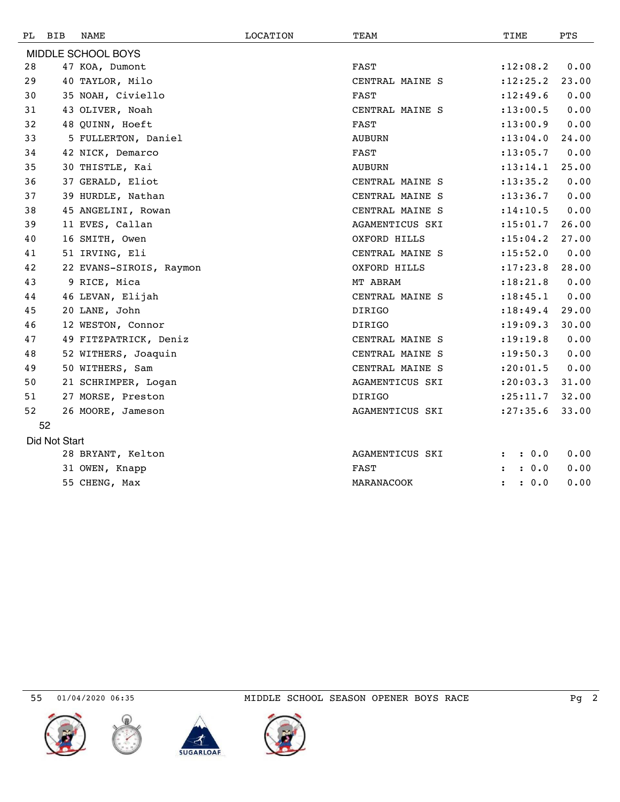| PL. | BIB           | NAME                    | LOCATION | TEAM            | TIME                          | <b>PTS</b> |
|-----|---------------|-------------------------|----------|-----------------|-------------------------------|------------|
|     |               | MIDDLE SCHOOL BOYS      |          |                 |                               |            |
| 28  |               | 47 KOA, Dumont          |          | <b>FAST</b>     | : 12:08.2                     | 0.00       |
| 29  |               | 40 TAYLOR, Milo         |          | CENTRAL MAINE S | : 12: 25.2                    | 23.00      |
| 30  |               | 35 NOAH, Civiello       |          | FAST            | : 12: 49.6                    | 0.00       |
| 31  |               | 43 OLIVER, Noah         |          | CENTRAL MAINE S | : 13: 00.5                    | 0.00       |
| 32  |               | 48 QUINN, Hoeft         |          | FAST            | : 13:00.9                     | 0.00       |
| 33  |               | 5 FULLERTON, Daniel     |          | <b>AUBURN</b>   | : 13:04.0                     | 24.00      |
| 34  |               | 42 NICK, Demarco        |          | <b>FAST</b>     | : 13: 05.7                    | 0.00       |
| 35  |               | 30 THISTLE, Kai         |          | <b>AUBURN</b>   | : 13: 14.1                    | 25.00      |
| 36  |               | 37 GERALD, Eliot        |          | CENTRAL MAINE S | : 13: 35.2                    | 0.00       |
| 37  |               | 39 HURDLE, Nathan       |          | CENTRAL MAINE S | : 13: 36.7                    | 0.00       |
| 38  |               | 45 ANGELINI, Rowan      |          | CENTRAL MAINE S | : 14: 10.5                    | 0.00       |
| 39  |               | 11 EVES, Callan         |          | AGAMENTICUS SKI | : 15: 01.7                    | 26.00      |
| 40  |               | 16 SMITH, Owen          |          | OXFORD HILLS    | : 15:04.2                     | 27.00      |
| 41  |               | 51 IRVING, Eli          |          | CENTRAL MAINE S | : 15: 52.0                    | 0.00       |
| 42  |               | 22 EVANS-SIROIS, Raymon |          | OXFORD HILLS    | : 17: 23.8                    | 28.00      |
| 43  |               | 9 RICE, Mica            |          | MT ABRAM        | : 18: 21.8                    | 0.00       |
| 44  |               | 46 LEVAN, Elijah        |          | CENTRAL MAINE S | : 18: 45.1                    | 0.00       |
| 45  |               | 20 LANE, John           |          | <b>DIRIGO</b>   | : 18: 49.4                    | 29.00      |
| 46  |               | 12 WESTON, Connor       |          | <b>DIRIGO</b>   | : 19:09.3                     | 30.00      |
| 47  |               | 49 FITZPATRICK, Deniz   |          | CENTRAL MAINE S | : 19: 19.8                    | 0.00       |
| 48  |               | 52 WITHERS, Joaquin     |          | CENTRAL MAINE S | : 19: 50.3                    | 0.00       |
| 49  |               | 50 WITHERS, Sam         |          | CENTRAL MAINE S | : 20: 01.5                    | 0.00       |
| 50  |               | 21 SCHRIMPER, Logan     |          | AGAMENTICUS SKI | : 20:03.3                     | 31.00      |
| 51  |               | 27 MORSE, Preston       |          | <b>DIRIGO</b>   | : 25: 11.7                    | 32.00      |
| 52  |               | 26 MOORE, Jameson       |          | AGAMENTICUS SKI | : 27: 35.6                    | 33.00      |
|     | 52            |                         |          |                 |                               |            |
|     | Did Not Start |                         |          |                 |                               |            |
|     |               | 28 BRYANT, Kelton       |          | AGAMENTICUS SKI | : 0.0                         | 0.00       |
|     |               | 31 OWEN, Knapp          |          | <b>FAST</b>     | : 0.0<br>$\ddot{\phantom{a}}$ | 0.00       |
|     |               | 55 CHENG, Max           |          | MARANACOOK      | : 0.0<br>$\ddot{\phantom{a}}$ | 0.00       |